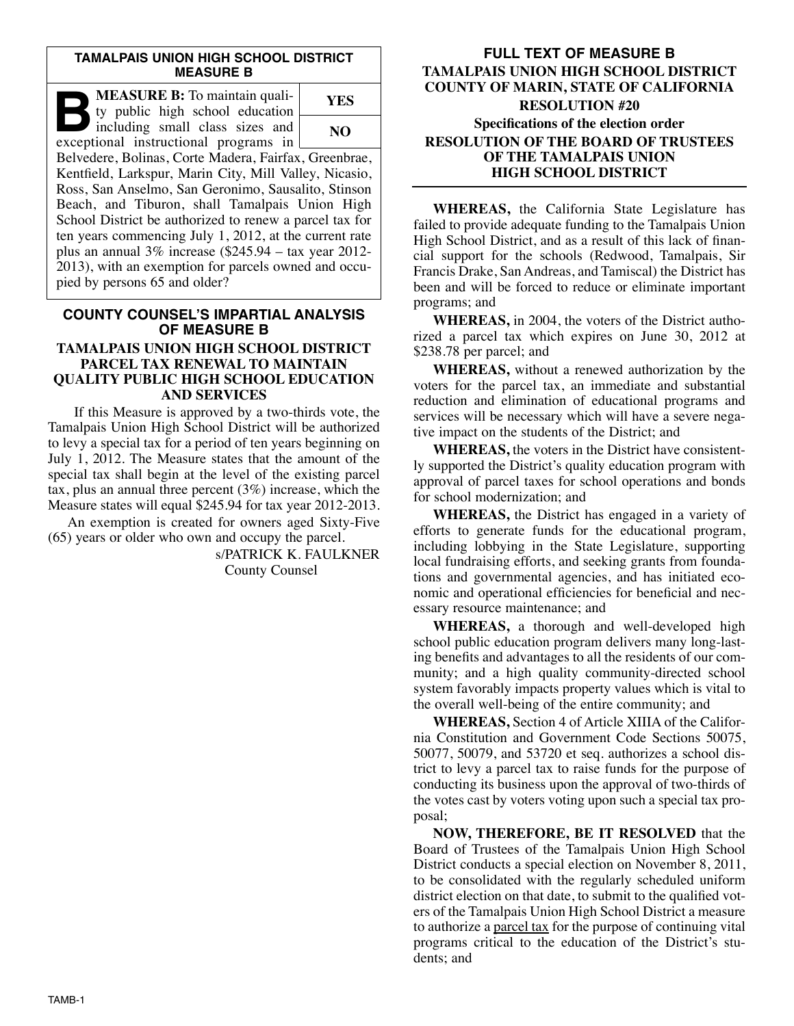#### **TAMALPAIS UNION HIGH SCHOOL DISTRICT MEASURE B**

| MEASURE B: To maintain quali-<br>ty public high school education         | YES |
|--------------------------------------------------------------------------|-----|
| including small class sizes and<br>exceptional instructional programs in | NO. |
| Belvedere, Bolinas, Corte Madera, Fairfax, Greenbrae,                    |     |
| Kentfield, Larkspur, Marin City, Mill Valley, Nicasio,                   |     |
| Ross, San Anselmo, San Geronimo, Sausalito, Stinson                      |     |
| Beach, and Tiburon, shall Tamalpais Union High                           |     |
| School District be authorized to renew a parcel tax for                  |     |
| ten years commencing July 1, 2012, at the current rate                   |     |
| plus an annual $3\%$ increase (\$245.94 – tax year 2012-                 |     |
| 2013), with an exemption for parcels owned and occu-                     |     |
| pied by persons 65 and older?                                            |     |

# **COUNTY COUNSEL'S IMPARTIAL ANALYSIS OF MEASURE B TAMALPAIS UNION HIGH SCHOOL DISTRICT PARCEL TAX RENEWAL TO MAINTAIN**

# **QUALITY PUBLIC HIGH SCHOOL EDUCATION AND SERVICES**

If this Measure is approved by a two-thirds vote, the Tamalpais Union High School District will be authorized to levy a special tax for a period of ten years beginning on July 1, 2012. The Measure states that the amount of the special tax shall begin at the level of the existing parcel tax, plus an annual three percent (3%) increase, which the Measure states will equal \$245.94 for tax year 2012-2013.

An exemption is created for owners aged Sixty-Five (65) years or older who own and occupy the parcel.

> s/PATRICK K. FAULKNER County Counsel

## **FULL TEXT OF MEASURE B TAMALPAIS UNION HIGH SCHOOL DISTRICT COUNTY OF MARIN, STATE OF CALIFORNIA RESOLUTION #20 Specifications of the election order RESOLUTION OF THE BOARD OF TRUSTEES OF THE TAMALPAIS UNION HIGH SCHOOL DISTRICT**

**WHEREAS,** the California State Legislature has failed to provide adequate funding to the Tamalpais Union High School District, and as a result of this lack of financial support for the schools (Redwood, Tamalpais, Sir Francis Drake, San Andreas, and Tamiscal) the District has been and will be forced to reduce or eliminate important programs; and

**WHEREAS,** in 2004, the voters of the District authorized a parcel tax which expires on June 30, 2012 at \$238.78 per parcel; and

**WHEREAS,** without a renewed authorization by the voters for the parcel tax, an immediate and substantial reduction and elimination of educational programs and services will be necessary which will have a severe negative impact on the students of the District; and

**WHEREAS,** the voters in the District have consistently supported the District's quality education program with approval of parcel taxes for school operations and bonds for school modernization; and

**WHEREAS,** the District has engaged in a variety of efforts to generate funds for the educational program, including lobbying in the State Legislature, supporting local fundraising efforts, and seeking grants from foundations and governmental agencies, and has initiated economic and operational efficiencies for beneficial and necessary resource maintenance; and

**WHEREAS,** a thorough and well-developed high school public education program delivers many long-lasting benefits and advantages to all the residents of our community; and a high quality community-directed school system favorably impacts property values which is vital to the overall well-being of the entire community; and

**WHEREAS,** Section 4 of Article XIIIA of the Califor nia Constitution and Government Code Sections 50075, 50077, 50079, and 53720 et seq. authorizes a school district to levy a parcel tax to raise funds for the purpose of conducting its business upon the approval of two-thirds of the votes cast by voters voting upon such a special tax proposal;

**NOW, THEREFORE, BE IT RESOLVED** that the Board of Trustees of the Tamalpais Union High School District conducts a special election on November 8, 2011, to be consolidated with the regularly scheduled uniform district election on that date, to submit to the qualified voters of the Tamalpais Union High School District a measure to authorize a parcel tax for the purpose of continuing vital programs critical to the education of the District's students; and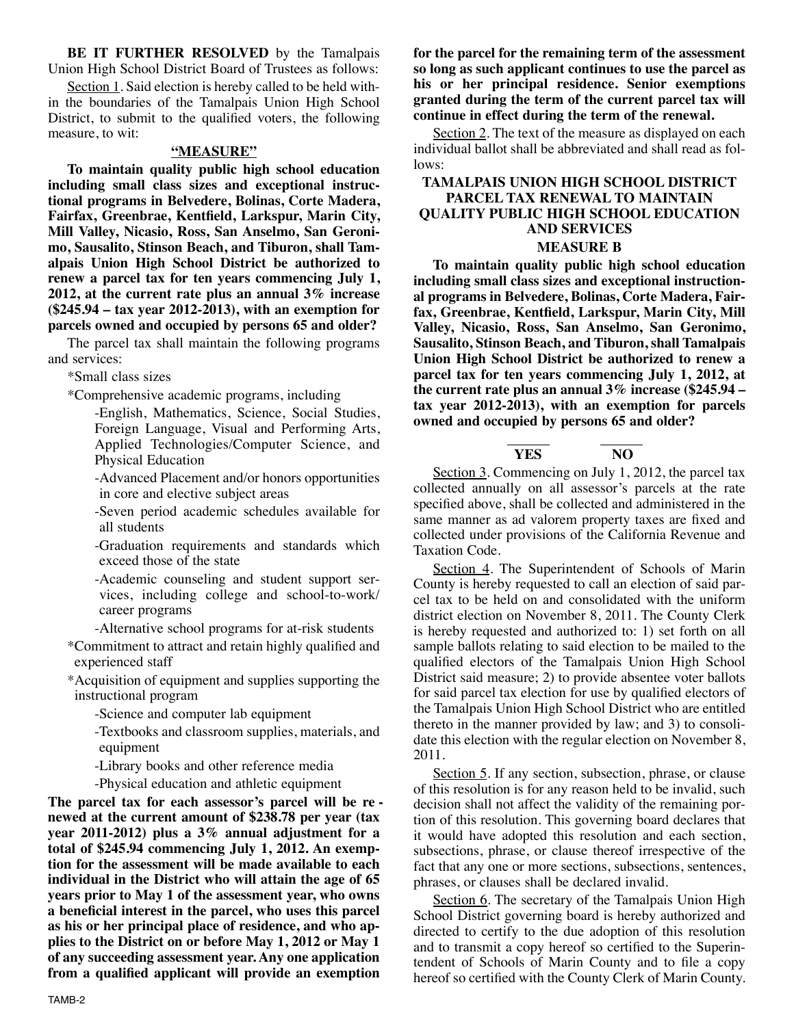**BE IT FURTHER RESOLVED** by the Tamalpais Union High School District Board of Trustees as follows:

Section 1. Said election is hereby called to be held within the boundaries of the Tamalpais Union High School District, to submit to the qualified voters, the following measure, to wit:

#### **"MEASURE"**

**To maintain quality public high school education in cluding small class sizes and exceptional instructional programs in Belvedere, Bolinas, Corte Madera, Fair fax, Greenbrae, Kentfield, Larkspur, Marin City, Mill Valley, Nicasio, Ross, San Anselmo, San Geronimo, Sausalito, Stinson Beach, and Tiburon, shall Tam alpais Union High School District be authorized to renew a parcel tax for ten years commencing July 1, 2012, at the current rate plus an annual 3% increase (\$245.94 – tax year 2012-2013), with an exemption for parcels owned and occupied by persons 65 and older?**

The parcel tax shall maintain the following programs and services:

\*Small class sizes

\*Comprehensive academic programs, including

-English, Mathematics, Science, Social Studies, Foreign Language, Visual and Performing Arts, Applied Technologies/Computer Science, and Physical Education

- -Advanced Placement and/or honors opportunities in core and elective subject areas
- -Seven period academic schedules available for all students
- -Graduation requirements and standards which exceed those of the state
- -Academic counseling and student support services, including college and school-to-work/ career programs

-Alternative school programs for at-risk students

\*Commitment to attract and retain highly qualified and experienced staff

\*Acquisition of equipment and supplies supporting the instructional program

- -Science and computer lab equipment
- -Textbooks and classroom supplies, materials, and equipment

-Library books and other reference media

-Physical education and athletic equipment

**The parcel tax for each assessor's parcel will be re newed at the current amount of \$238.78 per year (tax year 2011-2012) plus a 3% annual adjustment for a total of \$245.94 commencing July 1, 2012. An exemption for the assessment will be made available to each individual in the District who will attain the age of 65 years prior to May 1 of the assessment year, who owns a beneficial interest in the parcel, who uses this parcel as his or her principal place of residence, and who ap plies to the District on or before May 1, 2012 or May 1 of any succeeding assessment year. Any one application from a qualified applicant will provide an exemption**

**for the parcel for the remaining term of the assessment so long as such applicant continues to use the parcel as his or her principal residence. Senior exemptions granted during the term of the current parcel tax will continue in effect during the term of the renewal.**

Section 2. The text of the measure as displayed on each individual ballot shall be abbreviated and shall read as follows:

#### **TAMALPAIS UNION HIGH SCHOOL DISTRICT PARCEL TAX RENEWAL TO MAINTAIN QUALITY PUBLIC HIGH SCHOOL EDUCATION AND SERVICES MEASURE B**

**To maintain quality public high school education including small class sizes and exceptional instructional programs in Belvedere, Bolinas, Corte Madera, Fair fax, Greenbrae, Kentfield, Larkspur, Marin City, Mill Valley, Nicasio, Ross, San Anselmo, San Geronimo, Sausalito, Stinson Beach, and Tiburon, shall Tamalpais Union High School District be authorized to renew a parcel tax for ten years commencing July 1, 2012, at the current rate plus an annual 3% increase (\$245.94 – tax year 2012-2013), with an exemption for parcels owned and occupied by persons 65 and older?**

# **YES NO**

Section 3. Commencing on July 1, 2012, the parcel tax collected annually on all assessor's parcels at the rate specified above, shall be collected and administered in the same manner as ad valorem property taxes are fixed and collected under provisions of the California Revenue and Taxation Code.

Section 4. The Superintendent of Schools of Marin County is hereby requested to call an election of said parcel tax to be held on and consolidated with the uniform district election on November 8, 2011. The County Clerk is hereby requested and authorized to: 1) set forth on all sample ballots relating to said election to be mailed to the qualified electors of the Tamalpais Union High School District said measure; 2) to provide absentee voter ballots for said parcel tax election for use by qualified electors of the Tamalpais Union High School District who are entitled thereto in the manner provided by law; and 3) to consolidate this election with the regular election on November 8, 2011.

Section 5. If any section, subsection, phrase, or clause of this resolution is for any reason held to be invalid, such decision shall not affect the validity of the remaining portion of this resolution. This governing board declares that it would have adopted this resolution and each section, subsections, phrase, or clause thereof irrespective of the fact that any one or more sections, subsections, sentences, phrases, or clauses shall be declared invalid.

Section 6. The secretary of the Tamalpais Union High School District governing board is hereby authorized and directed to certify to the due adoption of this resolution and to transmit a copy hereof so certified to the Superintendent of Schools of Marin County and to file a copy hereof so certified with the County Clerk of Marin County.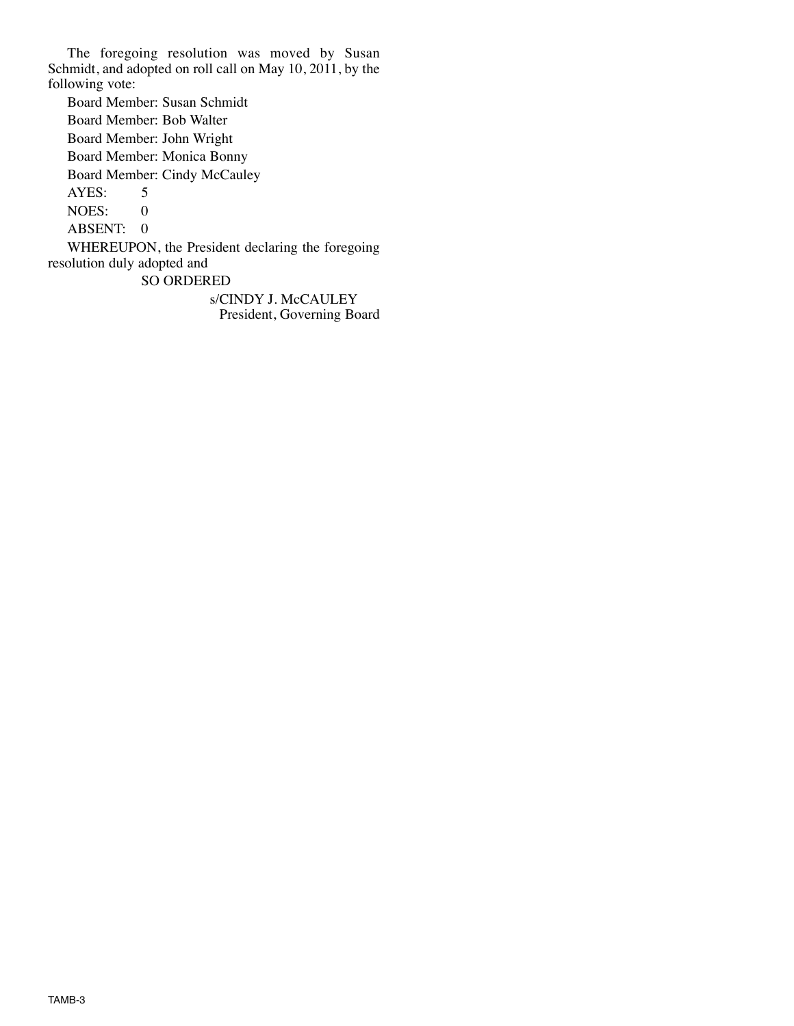The foregoing resolution was moved by Susan Schmidt, and adopted on roll call on May 10, 2011, by the following vote:

Board Member: Susan Schmidt Board Member: Bob Walter Board Member: John Wright Board Member: Monica Bonny Board Member: Cindy McCauley AYES: 5 NOES: 0 ABSENT: 0 WHEREUPON, the President declaring the foregoing resolution duly adopted and SO ORDERED

s/CINDY J. McCAULEY President, Governing Board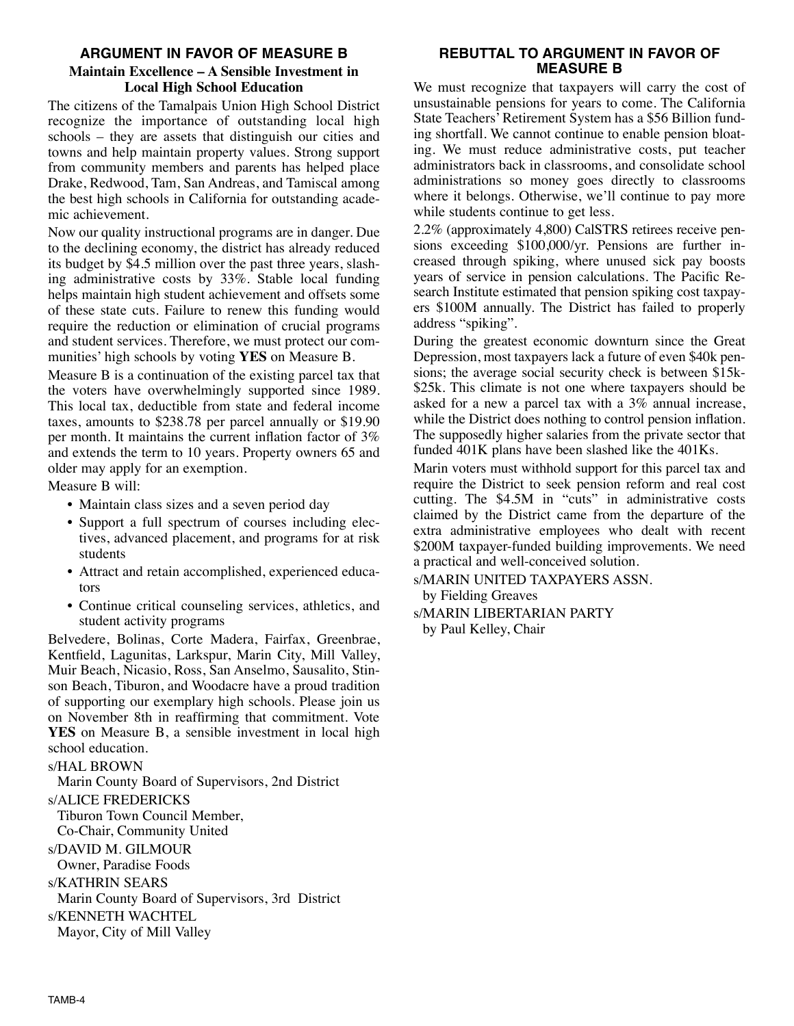### **ARGUMENT IN FAVOR OF MEASURE B**

## **Maintain Excellence – A Sensible Investment in Local High School Education**

The citizens of the Tamalpais Union High School District recognize the importance of outstanding local high schools – they are assets that distinguish our cities and towns and help maintain property values. Strong support from community members and parents has helped place Drake, Redwood, Tam, San Andreas, and Tamiscal among the best high schools in California for outstanding academic achievement.

Now our quality instructional programs are in danger. Due to the declining economy, the district has already reduced its budget by \$4.5 million over the past three years, slashing administrative costs by 33%. Stable local funding helps maintain high student achievement and offsets some of these state cuts. Failure to renew this funding would require the reduction or elimination of crucial programs and student services. Therefore, we must protect our communities' high schools by voting **YES** on Measure B.

Measure B is a continuation of the existing parcel tax that the voters have overwhelmingly supported since 1989. This local tax, deductible from state and federal income taxes, amounts to \$238.78 per parcel annually or \$19.90 per month. It maintains the current inflation factor of 3% and extends the term to 10 years. Property owners 65 and older may apply for an exemption.

Measure B will:

- Maintain class sizes and a seven period day
- Support a full spectrum of courses including electives, advanced placement, and programs for at risk students
- Attract and retain accomplished, experienced educators
- Continue critical counseling services, athletics, and student activity programs

Belvedere, Bolinas, Corte Madera, Fairfax, Greenbrae, Kentfield, Lagunitas, Larkspur, Marin City, Mill Valley, Muir Beach, Nicasio, Ross, San Anselmo, Sausalito, Stin son Beach, Tiburon, and Woodacre have a proud tradition of supporting our exemplary high schools. Please join us on November 8th in reaffirming that commitment. Vote **YES** on Measure B, a sensible investment in local high school education.

s/HAL BROWN

Marin County Board of Supervisors, 2nd District

### s/ALICE FREDERICKS

Tiburon Town Council Member, Co-Chair, Community United

s/DAVID M. GILMOUR

Owner, Paradise Foods

s/KATHRIN SEARS

Marin County Board of Supervisors, 3rd District

s/KENNETH WACHTEL

Mayor, City of Mill Valley

### **REBUTTAL TO ARGUMENT IN FAVOR OF MEASURE B**

We must recognize that taxpayers will carry the cost of unsustainable pensions for years to come. The California State Teachers' Retirement System has a \$56 Billion funding shortfall. We cannot continue to enable pension bloating. We must reduce administrative costs, put teacher administrators back in classrooms, and consolidate school administrations so money goes directly to classrooms where it belongs. Otherwise, we'll continue to pay more while students continue to get less.

2.2% (approximately 4,800) CalSTRS retirees receive pensions exceeding  $$100,000$ /yr. Pensions are further increased through spiking, where unused sick pay boosts years of service in pension calculations. The Pacific Research Institute estimated that pension spiking cost taxpayers \$100M annually. The District has failed to properly address "spiking".

During the greatest economic downturn since the Great Depression, most taxpayers lack a future of even \$40k pensions; the average social security check is between \$15k- \$25k. This climate is not one where taxpayers should be asked for a new a parcel tax with a 3% annual increase, while the District does nothing to control pension inflation. The supposedly higher salaries from the private sector that funded 401K plans have been slashed like the 401Ks.

Marin voters must withhold support for this parcel tax and require the District to seek pension reform and real cost cutting. The \$4.5M in "cuts" in administrative costs claimed by the District came from the departure of the extra administrative employees who dealt with recent \$200M taxpayer-funded building improvements. We need a practical and well-conceived solution.

s/MARIN UNITED TAXPAYERS ASSN. by Fielding Greaves

s/MARIN LIBERTARIAN PARTY by Paul Kelley, Chair